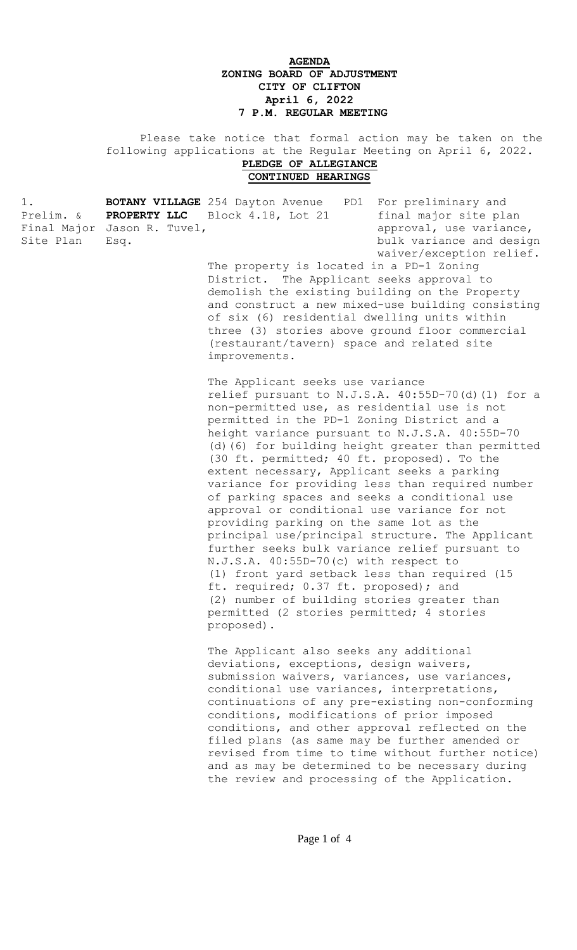## **AGENDA ZONING BOARD OF ADJUSTMENT CITY OF CLIFTON April 6, 2022 7 P.M. REGULAR MEETING**

 Please take notice that formal action may be taken on the following applications at the Regular Meeting on April 6, 2022. **PLEDGE OF ALLEGIANCE CONTINUED HEARINGS**

1. **BOTANY VILLAGE** 254 Dayton Avenue PD1 For preliminary and Prelim. & **PROPERTY LLC** Block 4.18, Lot 21 final major site plan Final Major Jason R. Tuvel,  $approd$ , approval, use variance, Site Plan Esq. **Example 20** Esq. bulk variance and design

waiver/exception relief.

The property is located in a PD-1 Zoning District. The Applicant seeks approval to demolish the existing building on the Property and construct a new mixed-use building consisting of six (6) residential dwelling units within three (3) stories above ground floor commercial (restaurant/tavern) space and related site improvements.

The Applicant seeks use variance relief pursuant to N.J.S.A. 40:55D-70(d)(1) for a non-permitted use, as residential use is not permitted in the PD-1 Zoning District and a height variance pursuant to N.J.S.A. 40:55D-70 (d)(6) for building height greater than permitted (30 ft. permitted; 40 ft. proposed). To the extent necessary, Applicant seeks a parking variance for providing less than required number of parking spaces and seeks a conditional use approval or conditional use variance for not providing parking on the same lot as the principal use/principal structure. The Applicant further seeks bulk variance relief pursuant to N.J.S.A. 40:55D-70(c) with respect to (1) front yard setback less than required (15 ft. required; 0.37 ft. proposed); and (2) number of building stories greater than permitted (2 stories permitted; 4 stories proposed).

The Applicant also seeks any additional deviations, exceptions, design waivers, submission waivers, variances, use variances, conditional use variances, interpretations, continuations of any pre-existing non-conforming conditions, modifications of prior imposed conditions, and other approval reflected on the filed plans (as same may be further amended or revised from time to time without further notice) and as may be determined to be necessary during the review and processing of the Application.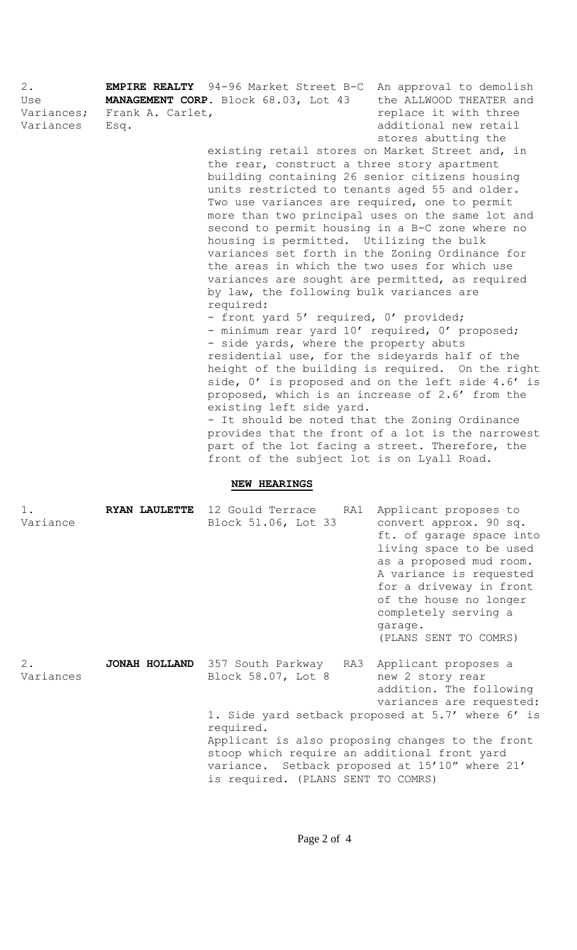2. **EMPIRE REALTY** 94-96 Market Street B-C An approval to demolish Use **MANAGEMENT CORP.** Block 68.03, Lot 43 the ALLWOOD THEATER and Variances; Frank A. Carlet, The Controller of the replace it with three Variances Esq. 2008 additional new retail stores abutting the existing retail stores on Market Street and, in the rear, construct a three story apartment building containing 26 senior citizens housing units restricted to tenants aged 55 and older. Two use variances are required, one to permit more than two principal uses on the same lot and second to permit housing in a B-C zone where no housing is permitted. Utilizing the bulk variances set forth in the Zoning Ordinance for the areas in which the two uses for which use variances are sought are permitted, as required by law, the following bulk variances are required: - front yard 5' required, 0' provided; - minimum rear yard 10' required, 0' proposed; - side yards, where the property abuts residential use, for the sideyards half of the height of the building is required. On the right side, 0' is proposed and on the left side 4.6' is proposed, which is an increase of 2.6' from the existing left side yard. - It should be noted that the Zoning Ordinance provides that the front of a lot is the narrowest part of the lot facing a street. Therefore, the front of the subject lot is on Lyall Road. **NEW HEARINGS** 1. **RYAN LAULETTE** 12 Gould Terrace RA1 Applicant proposes to Variance Block 51.06, Lot 33 convert approx. 90 sq. ft. of garage space into

living space to be used as a proposed mud room. A variance is requested for a driveway in front of the house no longer completely serving a garage. (PLANS SENT TO COMRS)

2. **JONAH HOLLAND** 357 South Parkway RA3 Applicant proposes a Variances Block 58.07, Lot 8 new 2 story rear addition. The following variances are requested: 1. Side yard setback proposed at 5.7' where 6' is required. Applicant is also proposing changes to the front stoop which require an additional front yard variance. Setback proposed at 15'10" where 21' is required. (PLANS SENT TO COMRS)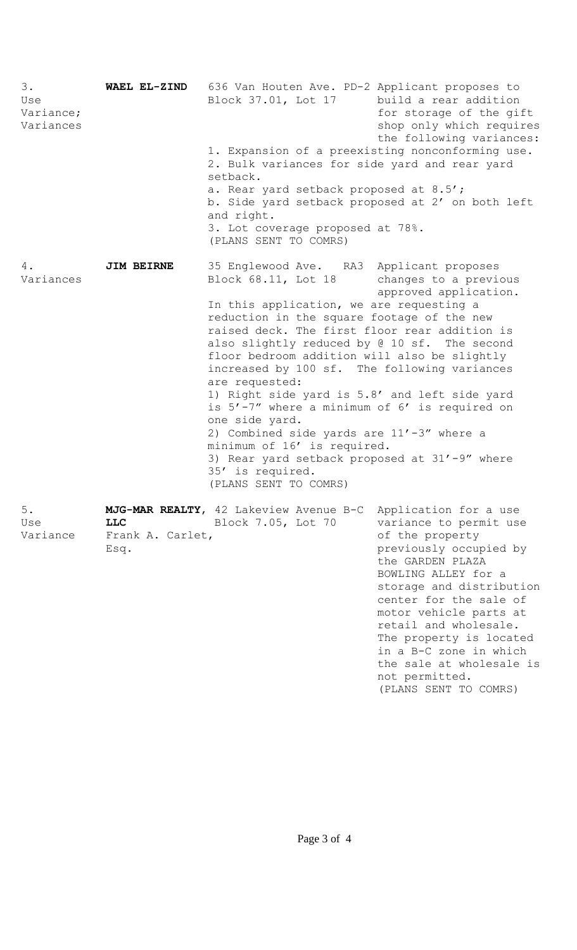| 3.<br>Use<br>Variance;<br>Variances | WAEL EL-ZIND                   | 636 Van Houten Ave. PD-2 Applicant proposes to<br>Block 37.01, Lot 17 build a rear addition                                                                                                                                                                                                                                                                                                                                                                                                                                                                                                                                                                                                      | for storage of the gift<br>shop only which requires<br>the following variances:                                                                                                                                                                                                                        |
|-------------------------------------|--------------------------------|--------------------------------------------------------------------------------------------------------------------------------------------------------------------------------------------------------------------------------------------------------------------------------------------------------------------------------------------------------------------------------------------------------------------------------------------------------------------------------------------------------------------------------------------------------------------------------------------------------------------------------------------------------------------------------------------------|--------------------------------------------------------------------------------------------------------------------------------------------------------------------------------------------------------------------------------------------------------------------------------------------------------|
|                                     |                                | 1. Expansion of a preexisting nonconforming use.<br>2. Bulk variances for side yard and rear yard<br>setback.<br>a. Rear yard setback proposed at 8.5';<br>b. Side yard setback proposed at 2' on both left<br>and right.<br>3. Lot coverage proposed at 78%.<br>(PLANS SENT TO COMRS)                                                                                                                                                                                                                                                                                                                                                                                                           |                                                                                                                                                                                                                                                                                                        |
|                                     |                                |                                                                                                                                                                                                                                                                                                                                                                                                                                                                                                                                                                                                                                                                                                  |                                                                                                                                                                                                                                                                                                        |
|                                     |                                |                                                                                                                                                                                                                                                                                                                                                                                                                                                                                                                                                                                                                                                                                                  |                                                                                                                                                                                                                                                                                                        |
| 4.<br>Variances                     | <b>JIM BEIRNE</b>              | 35 Englewood Ave. RA3 Applicant proposes<br>Block 68.11, Lot 18 changes to a previous<br>In this application, we are requesting a<br>reduction in the square footage of the new<br>raised deck. The first floor rear addition is<br>also slightly reduced by @ 10 sf. The second<br>floor bedroom addition will also be slightly<br>increased by 100 sf. The following variances<br>are requested:<br>1) Right side yard is 5.8' and left side yard<br>is 5'-7" where a minimum of 6' is required on<br>one side yard.<br>2) Combined side yards are 11'-3" where a<br>minimum of 16' is required.<br>3) Rear yard setback proposed at 31'-9" where<br>35' is required.<br>(PLANS SENT TO COMRS) | approved application.                                                                                                                                                                                                                                                                                  |
| $5$ .<br>Use<br>Variance            | <b>LLC</b><br>Frank A. Carlet, | MJG-MAR REALTY, 42 Lakeview Avenue B-C<br>Block 7.05, Lot 70                                                                                                                                                                                                                                                                                                                                                                                                                                                                                                                                                                                                                                     | Application for a use<br>variance to permit use<br>of the property                                                                                                                                                                                                                                     |
|                                     | Esq.                           |                                                                                                                                                                                                                                                                                                                                                                                                                                                                                                                                                                                                                                                                                                  | previously occupied by<br>the GARDEN PLAZA<br>BOWLING ALLEY for a<br>storage and distribution<br>center for the sale of<br>motor vehicle parts at<br>retail and wholesale.<br>The property is located<br>in a B-C zone in which<br>the sale at wholesale is<br>not permitted.<br>(PLANS SENT TO COMRS) |

Page 3 of 4